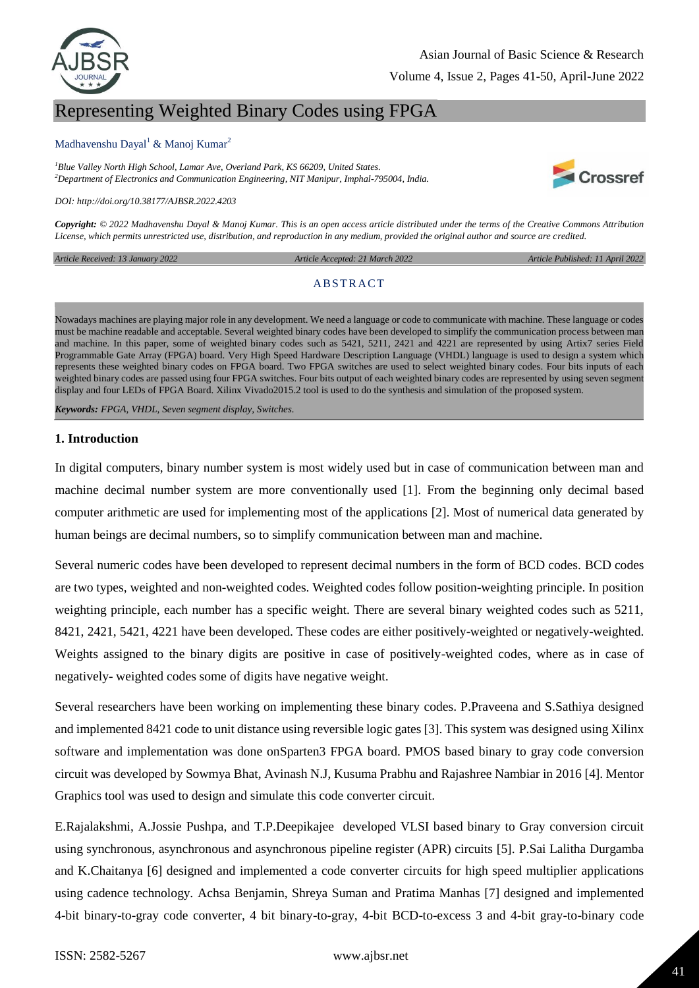

# Representing Weighted Binary Codes using FPGA

### Madhavenshu Dayal<sup>1</sup> & Manoj Kumar<sup>2</sup>

*<sup>1</sup>Blue Valley North High School, Lamar Ave, Overland Park, KS 66209, United States. <sup>2</sup>Department of Electronics and Communication Engineering, NIT Manipur, Imphal-795004, India.*



*DOI: http://doi.org/10.38177/AJBSR.2022.4203*

*Copyright: © 2022 Madhavenshu Dayal & Manoj Kumar. This is an open access article distributed under the terms of the Creative Commons Attribution License, which permits unrestricted use, distribution, and reproduction in any medium, provided the original author and source are credited.* 

*Article Received: 13 January 2022* 

 *Article Accepted: 21 March 2022 Article Published: 11 April 2022*

### **ABSTRACT**

Nowadays machines are playing major role in any development. We need a language or code to communicate with machine. These language or codes must be machine readable and acceptable. Several weighted binary codes have been developed to simplify the communication process between man and machine. In this paper, some of weighted binary codes such as 5421, 5211, 2421 and 4221 are represented by using Artix7 series Field Programmable Gate Array (FPGA) board. Very High Speed Hardware Description Language (VHDL) language is used to design a system which represents these weighted binary codes on FPGA board. Two FPGA switches are used to select weighted binary codes. Four bits inputs of each weighted binary codes are passed using four FPGA switches. Four bits output of each weighted binary codes are represented by using seven segment display and four LEDs of FPGA Board. Xilinx Vivado2015.2 tool is used to do the synthesis and simulation of the proposed system.

*Keywords: FPGA, VHDL, Seven segment display, Switches.*

### **1. Introduction**

In digital computers, binary number system is most widely used but in case of communication between man and machine decimal number system are more conventionally used [1]. From the beginning only decimal based computer arithmetic are used for implementing most of the applications [2]. Most of numerical data generated by human beings are decimal numbers, so to simplify communication between man and machine.

Several numeric codes have been developed to represent decimal numbers in the form of BCD codes. BCD codes are two types, weighted and non-weighted codes. Weighted codes follow position-weighting principle. In position weighting principle, each number has a specific weight. There are several binary weighted codes such as 5211, 8421, 2421, 5421, 4221 have been developed. These codes are either positively-weighted or negatively-weighted. Weights assigned to the binary digits are positive in case of positively-weighted codes, where as in case of negatively- weighted codes some of digits have negative weight.

Several researchers have been working on implementing these binary codes. P.Praveena and S.Sathiya designed and implemented 8421 code to unit distance using reversible logic gates [3]. This system was designed using Xilinx software and implementation was done onSparten3 FPGA board. PMOS based binary to gray code conversion circuit was developed by Sowmya Bhat, Avinash N.J, Kusuma Prabhu and Rajashree Nambiar in 2016 [4]. Mentor Graphics tool was used to design and simulate this code converter circuit.

E.Rajalakshmi, A.Jossie Pushpa, and T.P.Deepikajee developed VLSI based binary to Gray conversion circuit using synchronous, asynchronous and asynchronous pipeline register (APR) circuits [5]. P.Sai Lalitha Durgamba and K.Chaitanya [6] designed and implemented a code converter circuits for high speed multiplier applications using cadence technology. Achsa Benjamin, Shreya Suman and Pratima Manhas [7] designed and implemented 4-bit binary-to-gray code converter, 4 bit binary-to-gray, 4-bit BCD-to-excess 3 and 4-bit gray-to-binary code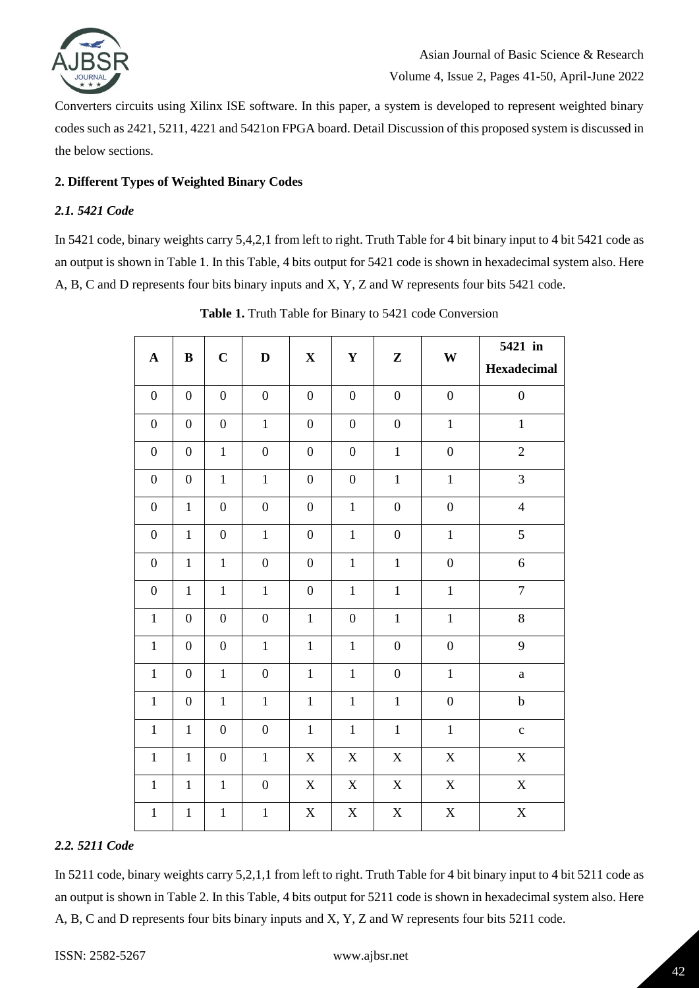

Converters circuits using Xilinx ISE software. In this paper, a system is developed to represent weighted binary codes such as 2421, 5211, 4221 and 5421on FPGA board. Detail Discussion of this proposed system is discussed in the below sections.

### **2. Different Types of Weighted Binary Codes**

### *2.1. 5421 Code*

In 5421 code, binary weights carry 5,4,2,1 from left to right. Truth Table for 4 bit binary input to 4 bit 5421 code as an output is shown in Table 1. In this Table, 4 bits output for 5421 code is shown in hexadecimal system also. Here A, B, C and D represents four bits binary inputs and X, Y, Z and W represents four bits 5421 code.

| $\mathbf A$      | $\, {\bf B}$     | $\mathbf C$      | $\mathbf D$      | $\mathbf X$      | $\mathbf Y$      | $\mathbf{Z}$     | W                | 5421 in<br><b>Hexadecimal</b> |
|------------------|------------------|------------------|------------------|------------------|------------------|------------------|------------------|-------------------------------|
| $\boldsymbol{0}$ | $\boldsymbol{0}$ | $\boldsymbol{0}$ | $\boldsymbol{0}$ | $\boldsymbol{0}$ | $\boldsymbol{0}$ | $\boldsymbol{0}$ | $\boldsymbol{0}$ | $\boldsymbol{0}$              |
| $\boldsymbol{0}$ | $\overline{0}$   | $\boldsymbol{0}$ | $\mathbf{1}$     | $\boldsymbol{0}$ | $\boldsymbol{0}$ | $\boldsymbol{0}$ | $\,1\,$          | $\mathbf{1}$                  |
| $\overline{0}$   | $\overline{0}$   | $\mathbf{1}$     | $\overline{0}$   | $\boldsymbol{0}$ | $\boldsymbol{0}$ | $\,1\,$          | $\overline{0}$   | $\overline{2}$                |
| $\boldsymbol{0}$ | $\boldsymbol{0}$ | $\mathbf 1$      | $\mathbf{1}$     | $\boldsymbol{0}$ | $\boldsymbol{0}$ | $\mathbf 1$      | $\,1\,$          | 3                             |
| $\boldsymbol{0}$ | $\mathbf{1}$     | $\boldsymbol{0}$ | $\boldsymbol{0}$ | $\boldsymbol{0}$ | $\mathbf{1}$     | $\boldsymbol{0}$ | $\boldsymbol{0}$ | $\overline{4}$                |
| $\overline{0}$   | $\mathbf{1}$     | $\boldsymbol{0}$ | $\mathbf{1}$     | $\overline{0}$   | $\mathbf{1}$     | $\boldsymbol{0}$ | $\mathbf{1}$     | 5                             |
| $\boldsymbol{0}$ | $\mathbf{1}$     | $\mathbf{1}$     | $\boldsymbol{0}$ | $\overline{0}$   | $\mathbf{1}$     | $\mathbf{1}$     | $\boldsymbol{0}$ | 6                             |
| $\boldsymbol{0}$ | $\mathbf{1}$     | $\mathbf{1}$     | $\mathbf{1}$     | $\boldsymbol{0}$ | $\mathbf{1}$     | $\mathbbm{1}$    | $\,1\,$          | $\overline{7}$                |
| $\mathbf{1}$     | $\boldsymbol{0}$ | $\boldsymbol{0}$ | $\boldsymbol{0}$ | $\mathbf{1}$     | $\boldsymbol{0}$ | $\mathbf 1$      | $\mathbf{1}$     | 8                             |
| $1\,$            | $\boldsymbol{0}$ | $\boldsymbol{0}$ | $\mathbf{1}$     | $\,1\,$          | $\mathbbm{1}$    | $\boldsymbol{0}$ | $\boldsymbol{0}$ | 9                             |
| $\,1$            | $\boldsymbol{0}$ | $\mathbf 1$      | $\overline{0}$   | $\mathbf 1$      | $\mathbf{1}$     | $\boldsymbol{0}$ | $\mathbf 1$      | $\rm{a}$                      |
| $\mathbf{1}$     | $\boldsymbol{0}$ | $\mathbbm{1}$    | $\mathbf{1}$     | $\mathbf 1$      | $\mathbf{1}$     | $\mathbf{1}$     | $\boldsymbol{0}$ | $\bf b$                       |
| $\mathbf 1$      | $\mathbf 1$      | $\boldsymbol{0}$ | $\boldsymbol{0}$ | $\mathbf{1}$     | $\mathbf{1}$     | $\mathbf{1}$     | $\mathbf{1}$     | $\mathbf c$                   |
| $\mathbf{1}$     | $\mathbf{1}$     | $\boldsymbol{0}$ | $\mathbf{1}$     | $\mathbf X$      | $\mathbf X$      | $\mathbf X$      | $\mathbf X$      | $\mathbf X$                   |
| $\,1\,$          | $\mathbf 1$      | $\mathbf{1}$     | $\boldsymbol{0}$ | $\mathbf X$      | $\mathbf X$      | $\mathbf X$      | $\mathbf X$      | $\mathbf X$                   |
| $\mathbf{1}$     | $\mathbf 1$      | $\mathbf 1$      | $\mathbf{1}$     | $\mathbf X$      | $\mathbf X$      | $\mathbf X$      | $\mathbf X$      | $\mathbf X$                   |

**Table 1.** Truth Table for Binary to 5421 code Conversion

### *2.2. 5211 Code*

In 5211 code, binary weights carry 5,2,1,1 from left to right. Truth Table for 4 bit binary input to 4 bit 5211 code as an output is shown in Table 2. In this Table, 4 bits output for 5211 code is shown in hexadecimal system also. Here A, B, C and D represents four bits binary inputs and X, Y, Z and W represents four bits 5211 code.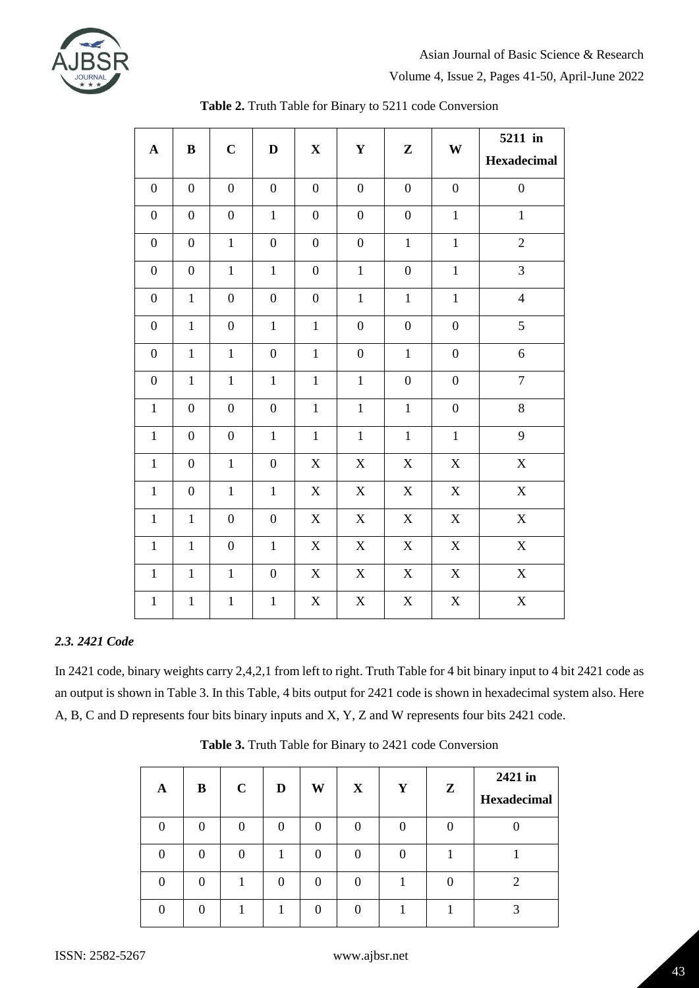

Volume 4, Issue 2, Pages 41-50, April-June 2022

| $\mathbf A$      | $\, {\bf B}$     | $\mathbf C$      | $\mathbf D$      | $\mathbf X$      | ${\bf Y}$                 | ${\bf Z}$                 | W                | 5211 in<br>Hexadecimal |
|------------------|------------------|------------------|------------------|------------------|---------------------------|---------------------------|------------------|------------------------|
| $\boldsymbol{0}$ | $\boldsymbol{0}$ | $\boldsymbol{0}$ | $\boldsymbol{0}$ | $\boldsymbol{0}$ | $\boldsymbol{0}$          | $\boldsymbol{0}$          | $\boldsymbol{0}$ | $\boldsymbol{0}$       |
| $\boldsymbol{0}$ | $\boldsymbol{0}$ | $\boldsymbol{0}$ | $\mathbf{1}$     | $\boldsymbol{0}$ | $\boldsymbol{0}$          | $\boldsymbol{0}$          | $\mathbf 1$      | $\mathbf 1$            |
| $\boldsymbol{0}$ | $\boldsymbol{0}$ | $\mathbf{1}$     | $\boldsymbol{0}$ | $\boldsymbol{0}$ | $\boldsymbol{0}$          | $\mathbf 1$               | $\mathbf 1$      | $\overline{c}$         |
| $\boldsymbol{0}$ | $\overline{0}$   | $\mathbf{1}$     | $\mathbf{1}$     | $\boldsymbol{0}$ | $\mathbf{1}$              | $\overline{0}$            | $\mathbf 1$      | 3                      |
| $\boldsymbol{0}$ | $\mathbf 1$      | $\boldsymbol{0}$ | $\boldsymbol{0}$ | $\boldsymbol{0}$ | $\,1$                     | $\mathbf{1}$              | $\mathbf{1}$     | $\overline{4}$         |
| $\boldsymbol{0}$ | $\mathbf{1}$     | $\overline{0}$   | $\mathbf{1}$     | $\mathbf{1}$     | $\boldsymbol{0}$          | $\boldsymbol{0}$          | $\boldsymbol{0}$ | 5                      |
| $\boldsymbol{0}$ | $\mathbf 1$      | $\mathbf{1}$     | $\boldsymbol{0}$ | $\,1$            | $\boldsymbol{0}$          | $\mathbf 1$               | $\boldsymbol{0}$ | 6                      |
| $\boldsymbol{0}$ | $\mathbf{1}$     | $\mathbf 1$      | $\mathbf 1$      | $\mathbf{1}$     | $\mathbf 1$               | $\boldsymbol{0}$          | $\boldsymbol{0}$ | $\boldsymbol{7}$       |
| $\mathbf{1}$     | $\overline{0}$   | $\boldsymbol{0}$ | $\overline{0}$   | $\mathbf{1}$     | $\mathbf{1}$              | $\mathbf{1}$              | $\boldsymbol{0}$ | $8\,$                  |
| $\mathbf 1$      | $\boldsymbol{0}$ | $\boldsymbol{0}$ | $\mathbf{1}$     | $\,1$            | $\mathbf 1$               | $\mathbf 1$               | $\,1\,$          | 9                      |
| $\mathbf{1}$     | $\boldsymbol{0}$ | $\mathbf{1}$     | $\boldsymbol{0}$ | $\mathbf X$      | $\mathbf X$               | $\mathbf X$               | $\mathbf X$      | $\mathbf X$            |
| $\mathbf{1}$     | $\boldsymbol{0}$ | $\mathbf{1}$     | $\mathbf{1}$     | $\mathbf X$      | $\mathbf X$               | $\mathbf X$               | $\mathbf X$      | $\mathbf X$            |
| $\,1\,$          | $\,1$            | $\boldsymbol{0}$ | $\boldsymbol{0}$ | $\mathbf X$      | $\mathbf X$               | $\mathbf X$               | $\mathbf X$      | $\mathbf X$            |
| $\mathbf{1}$     | $\mathbf{1}$     | $\overline{0}$   | $\mathbf{1}$     | $\mathbf X$      | $\mathbf X$               | $\boldsymbol{\mathrm{X}}$ | $\mathbf X$      | $\mathbf X$            |
| $\mathbf{1}$     | $\mathbf{1}$     | $\mathbf{1}$     | $\boldsymbol{0}$ | $\mathbf X$      | $\boldsymbol{\mathrm{X}}$ | X                         | $\mathbf X$      | $\mathbf X$            |
| $\mathbf{1}$     | $\mathbf{1}$     | $\mathbf{1}$     | $\mathbf 1$      | $\mathbf X$      | $\mathbf X$               | $\mathbf X$               | $\mathbf X$      | $\mathbf X$            |

| Table 2. Truth Table for Binary to 5211 code Conversion |
|---------------------------------------------------------|
|---------------------------------------------------------|

### *2.3. 2421 Code*

In 2421 code, binary weights carry 2,4,2,1 from left to right. Truth Table for 4 bit binary input to 4 bit 2421 code as an output is shown in Table 3. In this Table, 4 bits output for 2421 code is shown in hexadecimal system also. Here A, B, C and D represents four bits binary inputs and X, Y, Z and W represents four bits 2421 code.

| A | B        | $\mathbf C$ | D | W | X        | Y | $\mathbf{Z}$ | 2421 in<br>Hexadecimal |
|---|----------|-------------|---|---|----------|---|--------------|------------------------|
|   |          |             |   | 0 | 0        |   |              |                        |
|   | 0        |             |   | 0 | $\Omega$ |   |              |                        |
|   | $\Omega$ |             |   | 0 | $\Omega$ |   |              |                        |
|   | 0        |             |   |   | ∩        |   |              |                        |

**Table 3.** Truth Table for Binary to 2421 code Conversion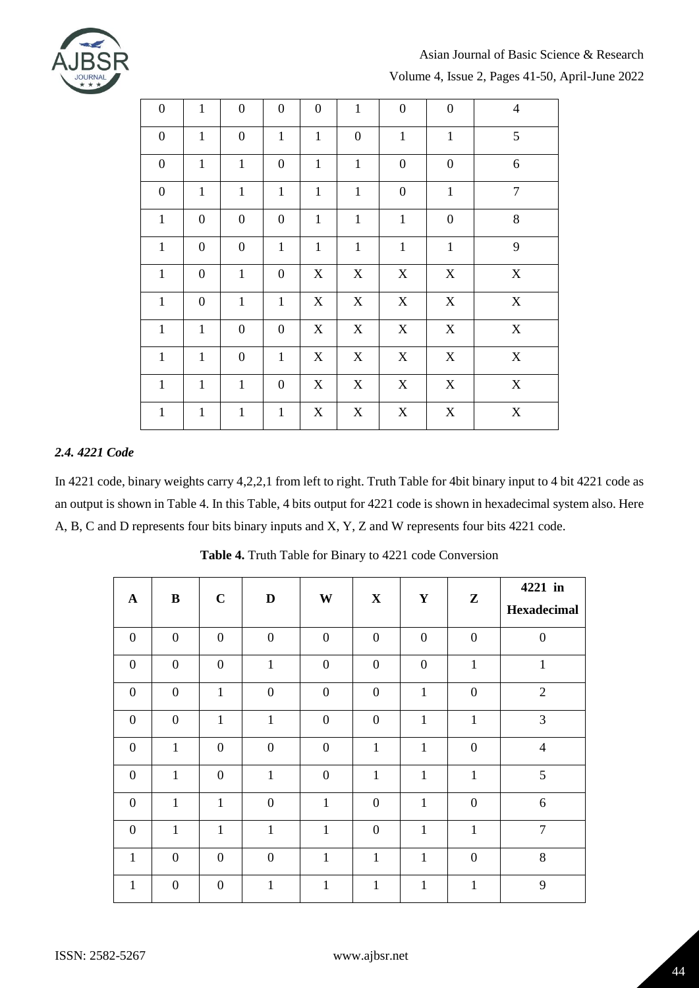

## Asian Journal of Basic Science & Research

Volume 4, Issue 2, Pages 41-50, April-June 2022

| $\boldsymbol{0}$ | $\mathbf{1}$     | $\boldsymbol{0}$ | $\boldsymbol{0}$ | $\boldsymbol{0}$          | $\mathbf{1}$     | $\boldsymbol{0}$ | $\boldsymbol{0}$ | $\overline{4}$ |
|------------------|------------------|------------------|------------------|---------------------------|------------------|------------------|------------------|----------------|
| $\boldsymbol{0}$ | $\mathbf{1}$     | $\boldsymbol{0}$ | $\mathbf{1}$     | $\mathbf{1}$              | $\boldsymbol{0}$ | $\mathbf{1}$     | $\mathbf{1}$     | 5              |
| $\boldsymbol{0}$ | $\mathbf{1}$     | $\mathbf{1}$     | $\boldsymbol{0}$ | $\mathbf{1}$              | $\mathbf{1}$     | $\boldsymbol{0}$ | $\boldsymbol{0}$ | 6              |
| $\boldsymbol{0}$ | $\mathbf{1}$     | $\mathbf{1}$     | $\mathbf{1}$     | $\mathbf{1}$              | $\mathbf{1}$     | $\boldsymbol{0}$ | $\mathbf{1}$     | $\overline{7}$ |
| $\mathbf{1}$     | $\boldsymbol{0}$ | $\boldsymbol{0}$ | $\boldsymbol{0}$ | $\mathbf{1}$              | $\mathbf{1}$     | $\mathbf{1}$     | $\boldsymbol{0}$ | 8              |
| $\mathbf 1$      | $\boldsymbol{0}$ | $\boldsymbol{0}$ | $\mathbf{1}$     | $\mathbf 1$               | $\mathbf{1}$     | $1\,$            | $\mathbf{1}$     | 9              |
| $\mathbf{1}$     | $\boldsymbol{0}$ | $\mathbf{1}$     | $\boldsymbol{0}$ | $\boldsymbol{\mathrm{X}}$ | X                | X                | $\mathbf X$      | $\mathbf X$    |
| $\mathbf{1}$     | $\boldsymbol{0}$ | $\mathbf{1}$     | $\mathbf{1}$     | $\mathbf X$               | $\mathbf X$      | X                | $\mathbf X$      | $\mathbf X$    |
| $\mathbf{1}$     | $\mathbf{1}$     | $\boldsymbol{0}$ | $\boldsymbol{0}$ | $\mathbf X$               | $\mathbf X$      | $\mathbf X$      | $\mathbf X$      | $\mathbf X$    |
| $\mathbf{1}$     | $\mathbf{1}$     | $\boldsymbol{0}$ | $\mathbf{1}$     | X                         | X                | X                | $\mathbf X$      | $\mathbf X$    |
| $\mathbf{1}$     | $\mathbf{1}$     | $\mathbf{1}$     | $\boldsymbol{0}$ | $\mathbf X$               | X                | X                | $\mathbf X$      | $\mathbf X$    |
| $\mathbf 1$      | $\mathbf{1}$     | $\mathbf{1}$     | $\mathbf{1}$     | $\mathbf X$               | $\mathbf X$      | $\mathbf X$      | $\mathbf X$      | $\mathbf X$    |

### *2.4. 4221 Code*

In 4221 code, binary weights carry 4,2,2,1 from left to right. Truth Table for 4bit binary input to 4 bit 4221 code as an output is shown in Table 4. In this Table, 4 bits output for 4221 code is shown in hexadecimal system also. Here A, B, C and D represents four bits binary inputs and X, Y, Z and W represents four bits 4221 code.

| $\mathbf{A}$     | $\bf{B}$         | $\mathbf C$      | D                | W                | $\mathbf X$      | Y              | $\mathbf{z}$     | 4221 in<br><b>Hexadecimal</b> |
|------------------|------------------|------------------|------------------|------------------|------------------|----------------|------------------|-------------------------------|
| $\boldsymbol{0}$ | $\boldsymbol{0}$ | $\overline{0}$   | $\boldsymbol{0}$ | $\boldsymbol{0}$ | $\mathbf{0}$     | $\mathbf{0}$   | $\boldsymbol{0}$ | $\boldsymbol{0}$              |
| $\mathbf{0}$     | $\overline{0}$   | $\overline{0}$   | $\mathbf{1}$     | $\boldsymbol{0}$ | $\boldsymbol{0}$ | $\overline{0}$ | $\mathbf{1}$     | $\mathbf{1}$                  |
| $\overline{0}$   | $\overline{0}$   | $\mathbf{1}$     | $\overline{0}$   | $\overline{0}$   | $\overline{0}$   | $\mathbf{1}$   | $\overline{0}$   | $\overline{2}$                |
| $\overline{0}$   | $\overline{0}$   | $\mathbf{1}$     | $\mathbf{1}$     | $\overline{0}$   | $\overline{0}$   | $\mathbf 1$    | $\mathbf{1}$     | $\overline{3}$                |
| $\boldsymbol{0}$ | $\mathbf{1}$     | $\boldsymbol{0}$ | $\boldsymbol{0}$ | $\boldsymbol{0}$ | $\mathbf{1}$     | $\mathbf 1$    | $\boldsymbol{0}$ | $\overline{4}$                |
| $\boldsymbol{0}$ | $\mathbf{1}$     | $\mathbf{0}$     | $\mathbf{1}$     | $\boldsymbol{0}$ | $\mathbf{1}$     | $\mathbf{1}$   | $\mathbf{1}$     | 5                             |
| $\mathbf{0}$     | $\mathbf{1}$     | $\mathbf{1}$     | $\overline{0}$   | $\mathbf{1}$     | $\boldsymbol{0}$ | $\mathbf{1}$   | $\boldsymbol{0}$ | 6                             |
| $\overline{0}$   | $\mathbf{1}$     | $\mathbf{1}$     | $\mathbf{1}$     | $\mathbf{1}$     | $\boldsymbol{0}$ | $\mathbf{1}$   | $\mathbf{1}$     | $\overline{7}$                |
| $\mathbf{1}$     | $\overline{0}$   | $\overline{0}$   | $\overline{0}$   | $\mathbf{1}$     | $\mathbf{1}$     | $\mathbf{1}$   | $\overline{0}$   | $8\,$                         |
| 1                | $\boldsymbol{0}$ | $\overline{0}$   | $\mathbf{1}$     | $\mathbf{1}$     | 1                | 1              | 1                | 9                             |

**Table 4.** Truth Table for Binary to 4221 code Conversion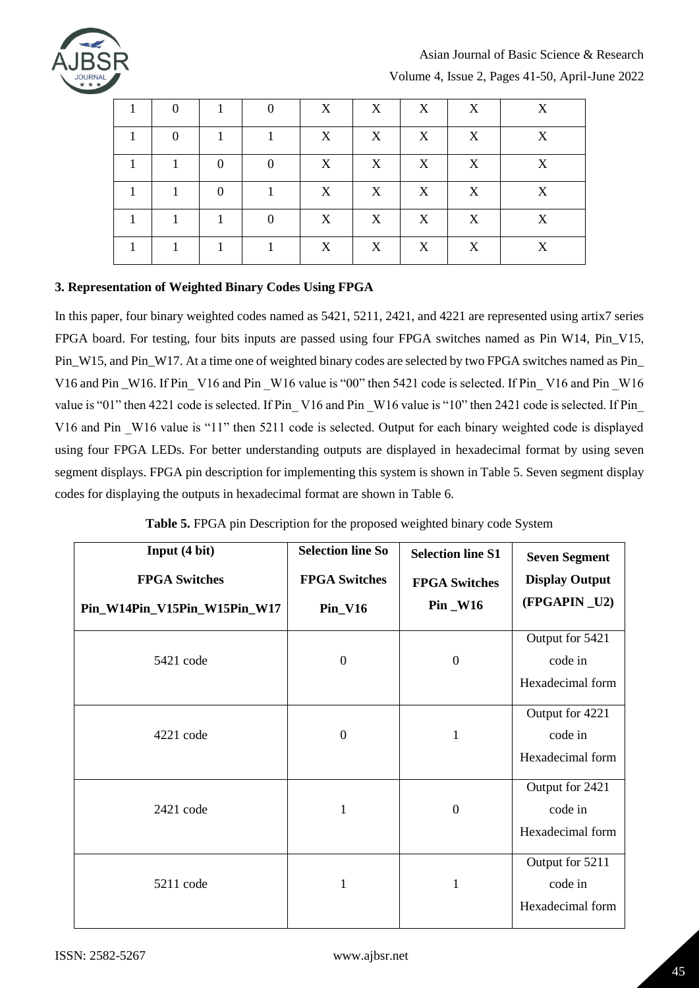

# Asian Journal of Basic Science & Research

Volume 4, Issue 2, Pages 41-50, April-June 2022

| $\theta$       |          |          | X | X | X | X | X |
|----------------|----------|----------|---|---|---|---|---|
| $\overline{0}$ |          |          | X | X | X | X | X |
|                | $\Omega$ | $\Omega$ | X | X | X | X | X |
|                | $\Omega$ |          | X | X | X | X | X |
|                |          | $\Omega$ | X | X | X | X | X |
|                |          |          | X | X | X | X | X |

### **3. Representation of Weighted Binary Codes Using FPGA**

In this paper, four binary weighted codes named as 5421, 5211, 2421, and 4221 are represented using artix7 series FPGA board. For testing, four bits inputs are passed using four FPGA switches named as Pin W14, Pin\_V15, Pin\_W15, and Pin\_W17. At a time one of weighted binary codes are selected by two FPGA switches named as Pin\_ V16 and Pin \_W16. If Pin \_V16 and Pin \_W16 value is "00" then 5421 code is selected. If Pin \_V16 and Pin \_W16 value is "01" then 4221 code is selected. If Pin V16 and Pin W16 value is "10" then 2421 code is selected. If Pin V16 and Pin \_W16 value is "11" then 5211 code is selected. Output for each binary weighted code is displayed using four FPGA LEDs. For better understanding outputs are displayed in hexadecimal format by using seven segment displays. FPGA pin description for implementing this system is shown in Table 5. Seven segment display codes for displaying the outputs in hexadecimal format are shown in Table 6.

| Input (4 bit)<br><b>FPGA Switches</b><br>Pin_W14Pin_V15Pin_W15Pin_W17 | <b>Selection line So</b><br><b>FPGA Switches</b><br>$Pin_V16$ | <b>Selection line S1</b><br><b>FPGA Switches</b><br>Pin _W16 | <b>Seven Segment</b><br><b>Display Output</b><br>(FPGAPIN_U2) |
|-----------------------------------------------------------------------|---------------------------------------------------------------|--------------------------------------------------------------|---------------------------------------------------------------|
| 5421 code                                                             | $\boldsymbol{0}$                                              | $\boldsymbol{0}$                                             | Output for 5421<br>code in<br>Hexadecimal form                |
| 4221 code                                                             | $\boldsymbol{0}$                                              | $\mathbf{1}$                                                 | Output for 4221<br>code in<br>Hexadecimal form                |
| $2421$ code                                                           | $\mathbf{1}$                                                  | $\boldsymbol{0}$                                             | Output for 2421<br>code in<br>Hexadecimal form                |
| 5211 code                                                             | 1                                                             | 1                                                            | Output for 5211<br>code in<br>Hexadecimal form                |

| Table 5. FPGA pin Description for the proposed weighted binary code System |  |  |  |
|----------------------------------------------------------------------------|--|--|--|
|                                                                            |  |  |  |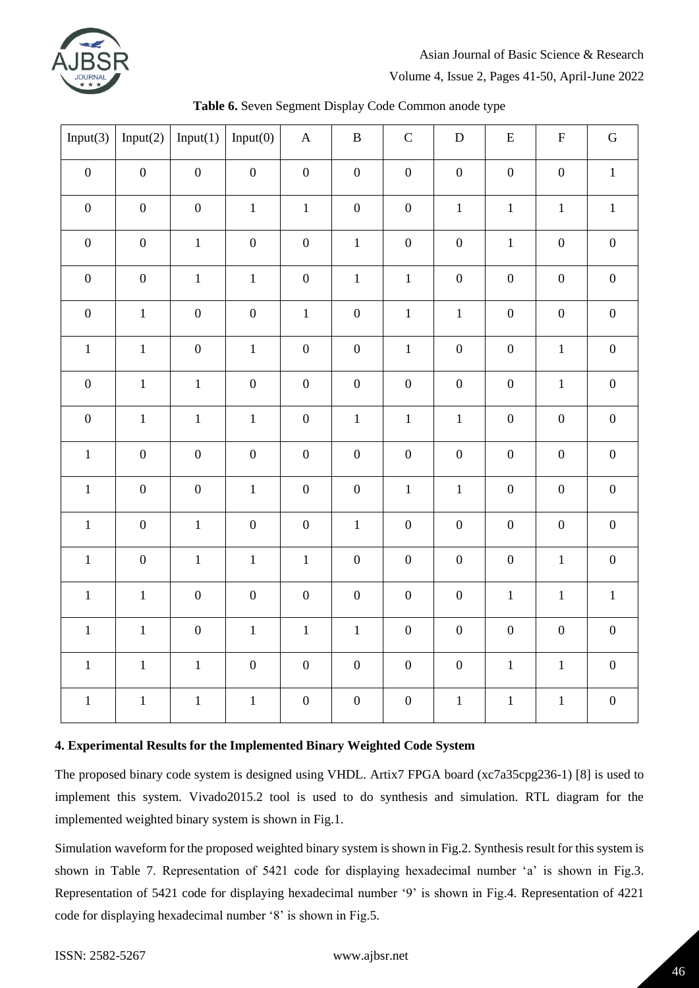

### Asian Journal of Basic Science & Research

Volume 4, Issue 2, Pages 41-50, April-June 2022

| Input $(3)$      | Input $(2)$      | Input(1)         | Input(0)         | $\mathbf A$      | $\, {\bf B}$     | $\mathsf C$      | ${\bf D}$        | ${\bf E}$        | $\boldsymbol{\mathrm{F}}$ | ${\bf G}$        |
|------------------|------------------|------------------|------------------|------------------|------------------|------------------|------------------|------------------|---------------------------|------------------|
| $\boldsymbol{0}$ | $\boldsymbol{0}$ | $\boldsymbol{0}$ | $\boldsymbol{0}$ | $\boldsymbol{0}$ | $\boldsymbol{0}$ | $\boldsymbol{0}$ | $\boldsymbol{0}$ | $\boldsymbol{0}$ | $\boldsymbol{0}$          | $\mathbf 1$      |
| $\boldsymbol{0}$ | $\overline{0}$   | $\boldsymbol{0}$ | $\mathbf{1}$     | $\mathbf 1$      | $\overline{0}$   | $\overline{0}$   | $\mathbf{1}$     | $\mathbf{1}$     | $\mathbf{1}$              | $\,1$            |
| $\mathbf 0$      | $\boldsymbol{0}$ | $\mathbf 1$      | $\boldsymbol{0}$ | $\boldsymbol{0}$ | $\overline{1}$   | $\overline{0}$   | $\boldsymbol{0}$ | $\mathbf{1}$     | $\overline{0}$            | $\overline{0}$   |
| $\boldsymbol{0}$ | $\boldsymbol{0}$ | $\mathbf 1$      | $\mathbf{1}$     | $\boldsymbol{0}$ | $\mathbf 1$      | $\mathbf 1$      | $\boldsymbol{0}$ | $\overline{0}$   | $\overline{0}$            | $\boldsymbol{0}$ |
| $\boldsymbol{0}$ | $1\,$            | $\boldsymbol{0}$ | $\boldsymbol{0}$ | $\,1$            | $\boldsymbol{0}$ | $\,1$            | $1\,$            | $\boldsymbol{0}$ | $\mathbf 0$               | $\boldsymbol{0}$ |
| $\,1\,$          | $\mathbf 1$      | $\boldsymbol{0}$ | $\,1\,$          | $\boldsymbol{0}$ | $\boldsymbol{0}$ | $\mathbf{1}$     | $\boldsymbol{0}$ | $\boldsymbol{0}$ | $\mathbf 1$               | $\boldsymbol{0}$ |
| $\boldsymbol{0}$ | $\mathbf 1$      | $\,1$            | $\overline{0}$   | $\boldsymbol{0}$ | $\boldsymbol{0}$ | $\overline{0}$   | $\boldsymbol{0}$ | $\boldsymbol{0}$ | $1\,$                     | $\boldsymbol{0}$ |
| $\boldsymbol{0}$ | $\mathbf{1}$     | $\mathbf 1$      | $\mathbf{1}$     | $\boldsymbol{0}$ | $\mathbf 1$      | $\mathbf{1}$     | $\mathbf{1}$     | $\boldsymbol{0}$ | $\boldsymbol{0}$          | $\boldsymbol{0}$ |
| $\,1$            | $\boldsymbol{0}$ | $\boldsymbol{0}$ | $\boldsymbol{0}$ | $\overline{0}$   | $\boldsymbol{0}$ | $\boldsymbol{0}$ | $\boldsymbol{0}$ | $\overline{0}$   | $\overline{0}$            | $\boldsymbol{0}$ |
| $\,1\,$          | $\boldsymbol{0}$ | $\boldsymbol{0}$ | $\,1\,$          | $\boldsymbol{0}$ | $\boldsymbol{0}$ | $\,1\,$          | $\,1\,$          | $\boldsymbol{0}$ | $\boldsymbol{0}$          | $0\,$            |
| $\,1\,$          | $\boldsymbol{0}$ | $\mathbf{1}$     | $\boldsymbol{0}$ | $\boldsymbol{0}$ | $\mathbf{1}$     | $\boldsymbol{0}$ | $\boldsymbol{0}$ | $\boldsymbol{0}$ | $\boldsymbol{0}$          | $\boldsymbol{0}$ |
| $\,1\,$          | $\boldsymbol{0}$ | $1\,$            | $\mathbf{1}$     | $\,1\,$          | $\boldsymbol{0}$ | $\boldsymbol{0}$ | $\boldsymbol{0}$ | $\boldsymbol{0}$ | $1\,$                     | $\boldsymbol{0}$ |
| $\,1\,$          | $\,1$            | $\boldsymbol{0}$ | $\overline{0}$   | $\overline{0}$   | $\boldsymbol{0}$ | $\overline{0}$   | $\boldsymbol{0}$ | $\mathbf 1$      | $\,1\,$                   | $\mathbf 1$      |
| $\,1\,$          | $\,1$            | $\boldsymbol{0}$ | $1\,$            | $\,1$            | $\mathbf 1$      | $\boldsymbol{0}$ | $\boldsymbol{0}$ | $\boldsymbol{0}$ | $\mathbf 0$               | $\boldsymbol{0}$ |
| $\mathbf 1$      | $\,1\,$          | $1\,$            | $\boldsymbol{0}$ | $\boldsymbol{0}$ | $\boldsymbol{0}$ | $\boldsymbol{0}$ | $\boldsymbol{0}$ | $1\,$            | $\mathbf{1}$              | $\boldsymbol{0}$ |
| $\,1\,$          | $\mathbf 1$      | $1\,$            | $\mathbf 1$      | $\boldsymbol{0}$ | $\boldsymbol{0}$ | $\boldsymbol{0}$ | $\,1$            | $1\,$            | $\,1$                     | $\boldsymbol{0}$ |

**Table 6.** Seven Segment Display Code Common anode type

### **4. Experimental Results for the Implemented Binary Weighted Code System**

The proposed binary code system is designed using VHDL. Artix7 FPGA board (xc7a35cpg236-1) [8] is used to implement this system. Vivado2015.2 tool is used to do synthesis and simulation. RTL diagram for the implemented weighted binary system is shown in Fig.1.

Simulation waveform for the proposed weighted binary system is shown in Fig.2. Synthesis result for this system is shown in Table 7. Representation of 5421 code for displaying hexadecimal number 'a' is shown in Fig.3. Representation of 5421 code for displaying hexadecimal number "9" is shown in Fig.4. Representation of 4221 code for displaying hexadecimal number '8' is shown in Fig.5.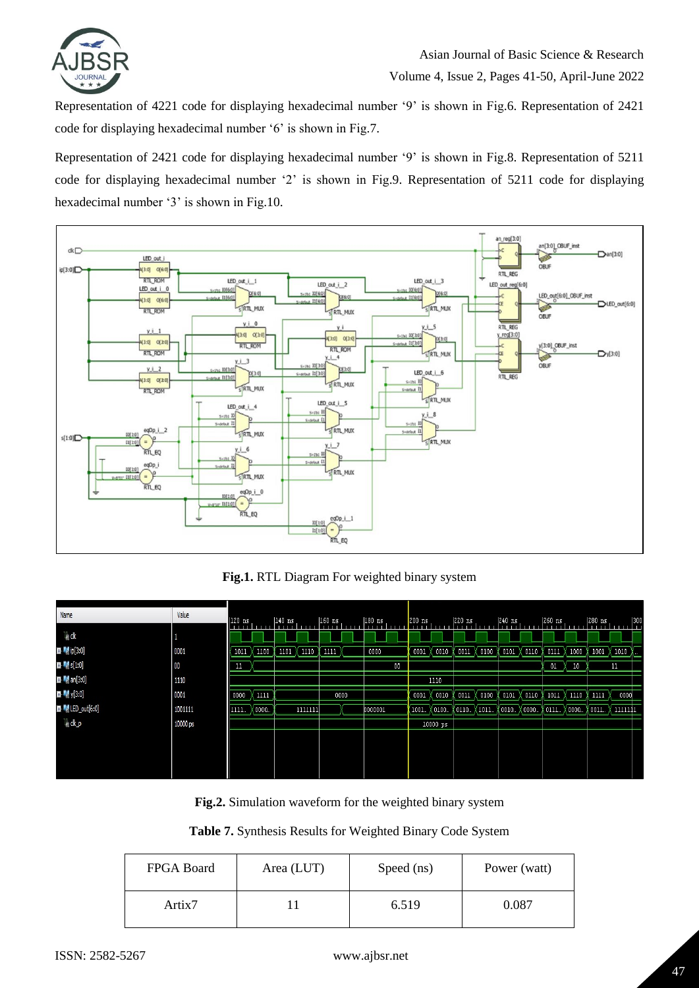

Representation of 4221 code for displaying hexadecimal number "9" is shown in Fig.6. Representation of 2421 code for displaying hexadecimal number '6' is shown in Fig.7.

Representation of 2421 code for displaying hexadecimal number '9' is shown in Fig.8. Representation of 5211 code for displaying hexadecimal number "2" is shown in Fig.9. Representation of 5211 code for displaying hexadecimal number '3' is shown in Fig.10.



**Fig.1.** RTL Diagram For weighted binary system

| Name                                                                                      | Value    | $120$ ns |               | $140$ ns |         | $ 160 $ ns | $ 180 \text{ ns} $ | $200$ ns |          | 220 ns   |        | $ 240$ ns        |        | $260$ ns       |        | 280 ns | 300  |
|-------------------------------------------------------------------------------------------|----------|----------|---------------|----------|---------|------------|--------------------|----------|----------|----------|--------|------------------|--------|----------------|--------|--------|------|
| ™ dk                                                                                      |          |          |               |          |         |            |                    |          |          |          |        |                  |        |                |        |        |      |
| $\blacksquare$ $\blacksquare$ $\blacksquare$ $\blacksquare$ $\blacksquare$ $\blacksquare$ | 0001     | 1011     | $1100$ $\chi$ | 1101 X   | 1110    | 1111       | 0000               | 0001     | 0010     | 0011     | 0100   | 0101             | 0110   | 0111           | 1000   | 1001   | 1010 |
| $\blacksquare$ $\blacksquare$ $s[1:0]$                                                    | 00       | -44      |               |          |         |            | 00                 |          |          |          |        |                  |        | 01             | 10     |        | 11   |
| <b>El M</b> an[3:0]                                                                       | 1110     |          |               |          |         |            |                    |          | 1110     |          |        |                  |        |                |        |        |      |
| $\blacksquare$ $\blacksquare$ y[3:0]                                                      | 0001     | 0000     | X 1111        |          |         | 0000       |                    | ( 0001 X | 0010     | $0011$ ) | 0100   | $0101$ $\rangle$ | 0110   | 1011           | X 1110 | 1111   | 0000 |
| <b>EM</b> LED_out[6:0]                                                                    | 1001111  | 1111     | 0000          |          | 1111111 |            | 0000001            | (1001…   | X0100    | (0110.   | X 1011 | (0010)           | ( 0000 | (0111… \(0000… |        | 0011.  | шщі  |
| l∦dk_p                                                                                    | 10000 ps |          |               |          |         |            |                    |          | 10000 ps |          |        |                  |        |                |        |        |      |
|                                                                                           |          |          |               |          |         |            |                    |          |          |          |        |                  |        |                |        |        |      |
|                                                                                           |          |          |               |          |         |            |                    |          |          |          |        |                  |        |                |        |        |      |
|                                                                                           |          |          |               |          |         |            |                    |          |          |          |        |                  |        |                |        |        |      |

**Fig.2.** Simulation waveform for the weighted binary system

### **Table 7.** Synthesis Results for Weighted Binary Code System

| <b>FPGA Board</b> | Area (LUT) | Speed (ns) | Power (watt) |
|-------------------|------------|------------|--------------|
| Artix7            |            | 6.519      | 0.087        |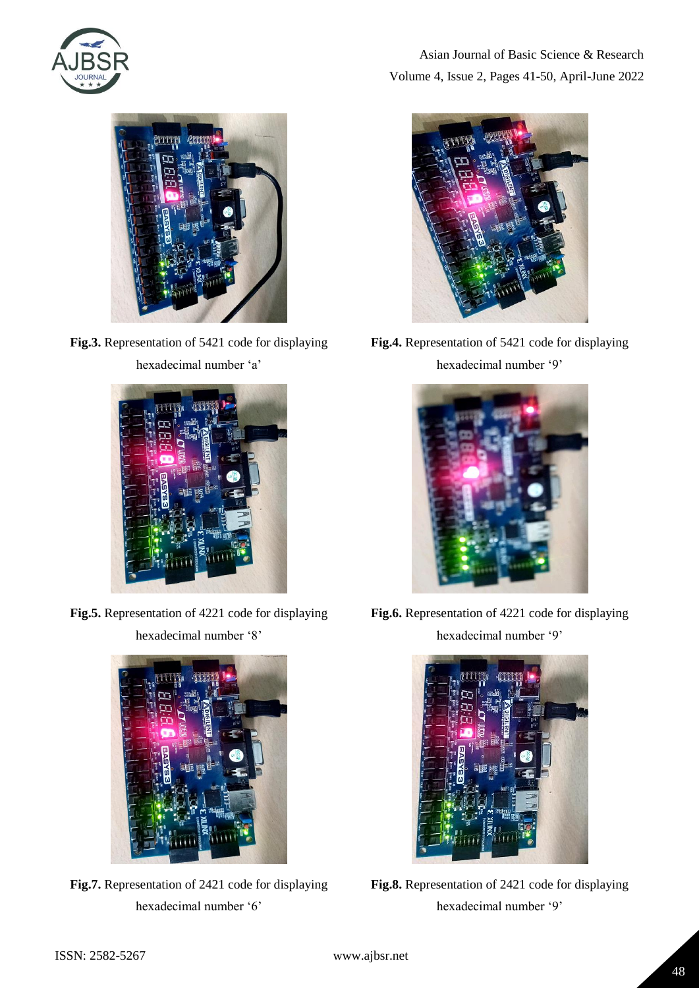



**Fig.3.** Representation of 5421 code for displaying hexadecimal number 'a'



**Fig.5.** Representation of 4221 code for displaying hexadecimal number '8'



**Fig.7.** Representation of 2421 code for displaying hexadecimal number '6'

Asian Journal of Basic Science & Research Volume 4, Issue 2, Pages 41-50, April-June 2022



**Fig.4.** Representation of 5421 code for displaying hexadecimal number '9'



**Fig.6.** Representation of 4221 code for displaying hexadecimal number '9'



**Fig.8.** Representation of 2421 code for displaying hexadecimal number '9'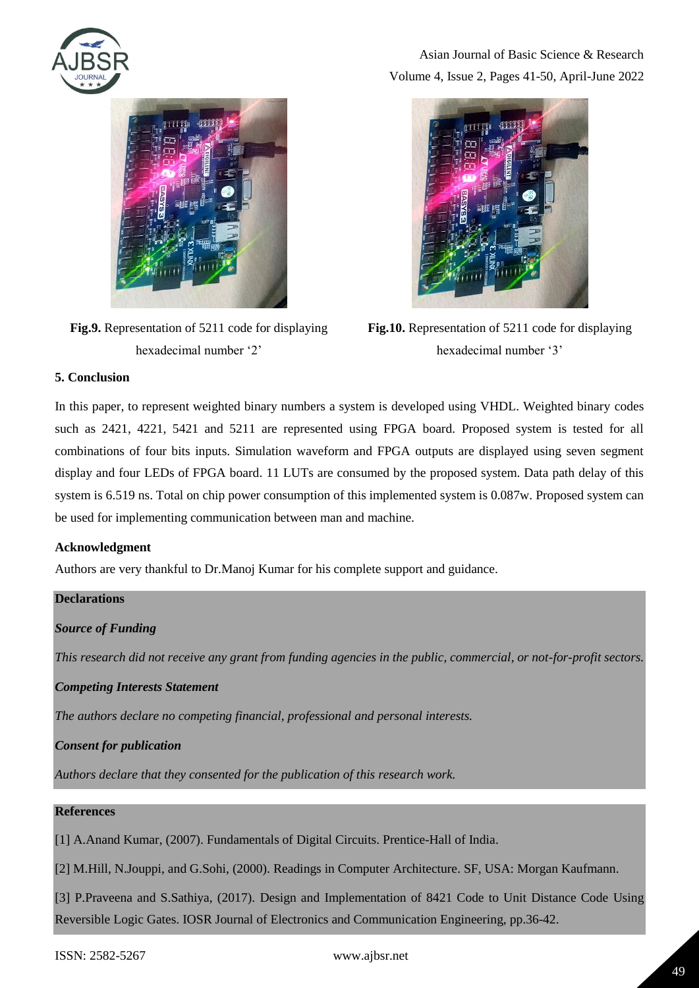

Asian Journal of Basic Science & Research Volume 4, Issue 2, Pages 41-50, April-June 2022



**Fig.9.** Representation of 5211 code for displaying hexadecimal number '2'



**Fig.10.** Representation of 5211 code for displaying hexadecimal number '3'

### **5. Conclusion**

In this paper, to represent weighted binary numbers a system is developed using VHDL. Weighted binary codes such as 2421, 4221, 5421 and 5211 are represented using FPGA board. Proposed system is tested for all combinations of four bits inputs. Simulation waveform and FPGA outputs are displayed using seven segment display and four LEDs of FPGA board. 11 LUTs are consumed by the proposed system. Data path delay of this system is 6.519 ns. Total on chip power consumption of this implemented system is 0.087w. Proposed system can be used for implementing communication between man and machine.

### **Acknowledgment**

| Authors are very thankful to Dr. Manoj Kumar for his complete support and guidance.                                 |
|---------------------------------------------------------------------------------------------------------------------|
| <b>Declarations</b>                                                                                                 |
| <b>Source of Funding</b>                                                                                            |
| This research did not receive any grant from funding agencies in the public, commercial, or not-for-profit sectors. |
| <b>Competing Interests Statement</b>                                                                                |
| The authors declare no competing financial, professional and personal interests.                                    |

### *Consent for publication*

*Authors declare that they consented for the publication of this research work.* 

### **References**

[1] A.Anand Kumar, (2007). Fundamentals of Digital Circuits. Prentice-Hall of India.

[2] M.Hill, N.Jouppi, and G.Sohi, (2000). Readings in Computer Architecture. SF, USA: Morgan Kaufmann.

[3] P.Praveena and S.Sathiya, (2017). Design and Implementation of 8421 Code to Unit Distance Code Using Reversible Logic Gates. IOSR Journal of Electronics and Communication Engineering, pp.36-42.